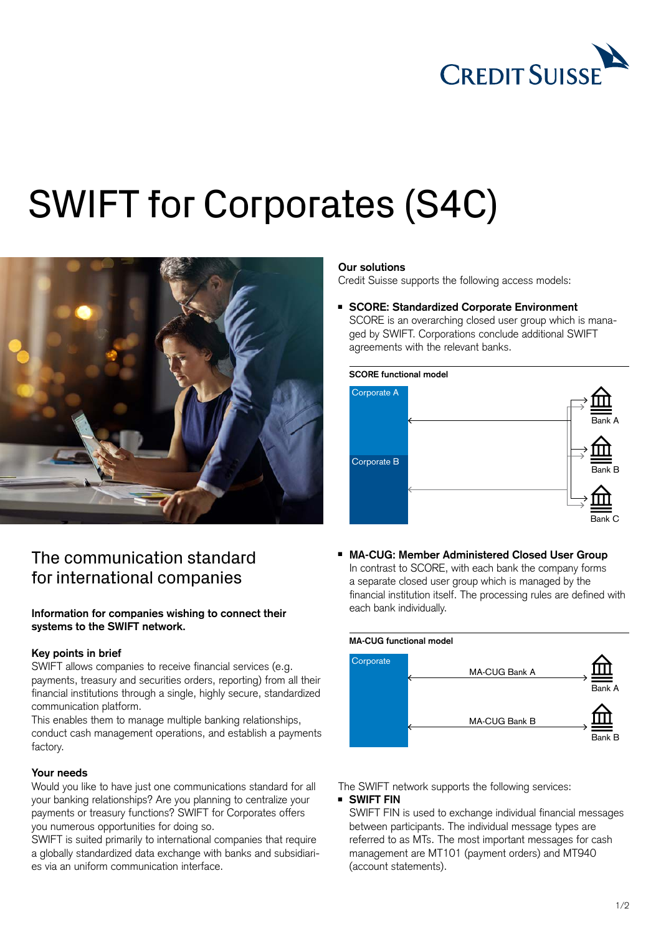

# SWIFT for Corporates (S4C)



# The communication standard for international companies

# **Information for companies wishing to connect their systems to the SWIFT network.**

# **Key points in brief**

SWIFT allows companies to receive financial services (e.g. payments, treasury and securities orders, reporting) from all their financial institutions through a single, highly secure, standardized communication platform.

This enables them to manage multiple banking relationships, conduct cash management operations, and establish a payments factory.

# **Your needs**

Would you like to have just one communications standard for all your banking relationships? Are you planning to centralize your payments or treasury functions? SWIFT for Corporates offers you numerous opportunities for doing so.

SWIFT is suited primarily to international companies that require a globally standardized data exchange with banks and subsidiaries via an uniform communication interface.

#### **Our solutions**

Credit Suisse supports the following access models:

<sup>ȷ</sup> **SCORE: Standardized Corporate Environment**

SCORE is an overarching closed user group which is managed by SWIFT. Corporations conclude additional SWIFT agreements with the relevant banks.



■ MA-CUG: Member Administered Closed User Group In contrast to SCORE, with each bank the company forms a separate closed user group which is managed by the financial institution itself. The processing rules are defined with each bank individually.



The SWIFT network supports the following services:

#### <sup>ȷ</sup> **SWIFT FIN**

SWIFT FIN is used to exchange individual financial messages between participants. The individual message types are referred to as MTs. The most important messages for cash management are MT101 (payment orders) and MT940 (account statements).